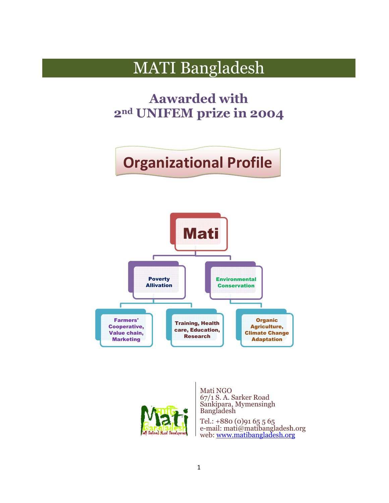## MATI Bangladesh

**2nd UNIFEM prize in 2004 Aawarded with**

# **Organizational Profile**





Mati NGO 67/1 S. A. Sarker Road Sankipara, Mymensingh Bangladesh

Tel.: +880 (0)91 65 5 65 e-mail: mati@matibangladesh.org mail: web: www.matibangladesh.org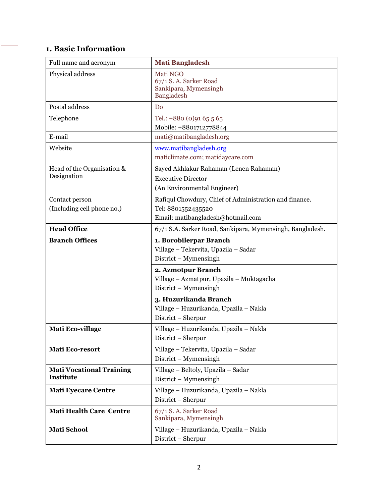## **1. Basic Information**

| Full name and acronym                        | <b>Mati Bangladesh</b>                                                                                                                                                             |
|----------------------------------------------|------------------------------------------------------------------------------------------------------------------------------------------------------------------------------------|
| Physical address                             | Mati NGO<br>67/1 S.A. Sarker Road<br>Sankipara, Mymensingh<br>Bangladesh                                                                                                           |
| Postal address                               | D <sub>0</sub>                                                                                                                                                                     |
| Telephone                                    | Tel.: $+880(0)9165565$<br>Mobile: +8801712778844                                                                                                                                   |
| E-mail                                       | mati@matibangladesh.org                                                                                                                                                            |
| Website                                      | www.matibangladesh.org<br>maticlimate.com; matidaycare.com                                                                                                                         |
| Head of the Organisation &<br>Designation    | Sayed Akhlakur Rahaman (Lenen Rahaman)<br><b>Executive Director</b><br>(An Environmental Engineer)                                                                                 |
| Contact person<br>(Including cell phone no.) | Rafiqul Chowdury, Chief of Administration and finance.<br>Tel: 8801552435520<br>Email: matibangladesh@hotmail.com                                                                  |
| <b>Head Office</b>                           | 67/1 S.A. Sarker Road, Sankipara, Mymensingh, Bangladesh.                                                                                                                          |
| <b>Branch Offices</b>                        | 1. Borobilerpar Branch<br>Village - Tekervita, Upazila - Sadar<br>District – Mymensingh<br>2. Azmotpur Branch<br>Village - Azmatpur, Upazila - Muktagacha<br>District - Mymensingh |
|                                              | 3. Huzurikanda Branch<br>Village - Huzurikanda, Upazila - Nakla<br>District - Sherpur                                                                                              |
| <b>Mati Eco-village</b>                      | Village - Huzurikanda, Upazila - Nakla<br>District - Sherpur                                                                                                                       |
| <b>Mati Eco-resort</b>                       | Village - Tekervita, Upazila - Sadar<br>District – Mymensingh                                                                                                                      |
| <b>Mati Vocational Training</b><br>Institute | Village - Beltoly, Upazila - Sadar<br>District – Mymensingh                                                                                                                        |
| <b>Mati Eyecare Centre</b>                   | Village - Huzurikanda, Upazila - Nakla<br>District – Sherpur                                                                                                                       |
| <b>Mati Health Care Centre</b>               | 67/1 S.A. Sarker Road<br>Sankipara, Mymensingh                                                                                                                                     |
| <b>Mati School</b>                           | Village - Huzurikanda, Upazila - Nakla<br>District - Sherpur                                                                                                                       |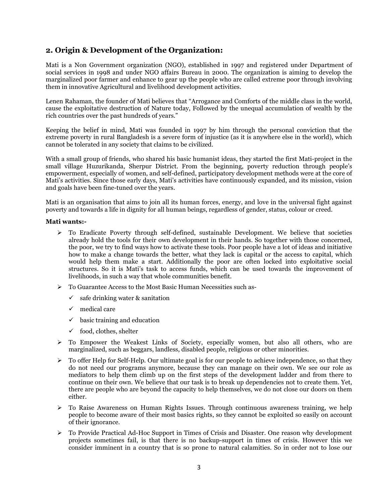## **2. Origin & Development of the Organization:**

Mati is a Non Government organization (NGO), established in 1997 and registered under Department of social services in 1998 and under NGO affairs Bureau in 2000. The organization is aiming to develop the marginalized poor farmer and enhance to gear up the people who are called extreme poor through involving them in innovative Agricultural and livelihood development activities.

Lenen Rahaman, the founder of Mati believes that "Arrogance and Comforts of the middle class in the world, cause the exploitative destruction of Nature today, Followed by the unequal accumulation of wealth by the rich countries over the past hundreds of years."

Keeping the belief in mind, Mati was founded in 1997 by him through the personal conviction that the extreme poverty in rural Bangladesh is a severe form of injustice (as it is anywhere else in the world), which cannot be tolerated in any society that claims to be civilized.

With a small group of friends, who shared his basic humanist ideas, they started the first Mati-project in the small village Huzurikanda, Sherpur District. From the beginning, poverty reduction through people's empowerment, especially of women, and self-defined, participatory development methods were at the core of Mati's activities. Since those early days, Mati's activities have continuously expanded, and its mission, vision and goals have been fine-tuned over the years.

Mati is an organisation that aims to join all its human forces, energy, and love in the universal fight against poverty and towards a life in dignity for all human beings, regardless of gender, status, colour or creed.

#### **Mati wants:-**

- $\triangleright$  To Eradicate Poverty through self-defined, sustainable Development. We believe that societies already hold the tools for their own development in their hands. So together with those concerned, the poor, we try to find ways how to activate these tools. Poor people have a lot of ideas and initiative how to make a change towards the better, what they lack is capital or the access to capital, which would help them make a start. Additionally the poor are often locked into exploitative social structures. So it is Mati's task to access funds, which can be used towards the improvement of livelihoods, in such a way that whole communities benefit.
- To Guarantee Access to the Most Basic Human Necessities such as-
	- $\checkmark$  safe drinking water & sanitation
	- $\checkmark$  medical care
	- $\checkmark$  basic training and education
	- $\checkmark$  food, clothes, shelter
- > To Empower the Weakest Links of Society, especially women, but also all others, who are marginalized, such as beggars, landless, disabled people, religious or other minorities.
- $\triangleright$  To offer Help for Self-Help. Our ultimate goal is for our people to achieve independence, so that they do not need our programs anymore, because they can manage on their own. We see our role as mediators to help them climb up on the first steps of the development ladder and from there to continue on their own. We believe that our task is to break up dependencies not to create them. Yet, there are people who are beyond the capacity to help themselves, we do not close our doors on them either.
- $\triangleright$  To Raise Awareness on Human Rights Issues. Through continuous awareness training, we help people to become aware of their most basics rights, so they cannot be exploited so easily on account of their ignorance.
- To Provide Practical Ad-Hoc Support in Times of Crisis and Disaster. One reason why development projects sometimes fail, is that there is no backup-support in times of crisis. However this we consider imminent in a country that is so prone to natural calamities. So in order not to lose our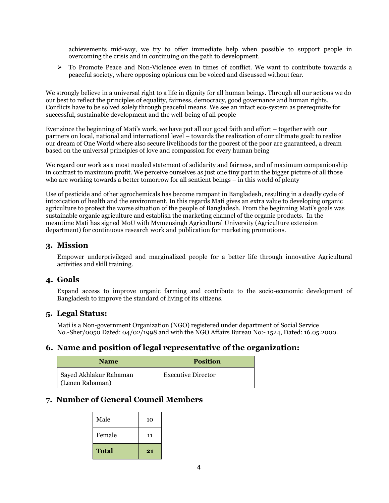achievements mid-way, we try to offer immediate help when possible to support people in overcoming the crisis and in continuing on the path to development.

 $\triangleright$  To Promote Peace and Non-Violence even in times of conflict. We want to contribute towards a peaceful society, where opposing opinions can be voiced and discussed without fear.

We strongly believe in a universal right to a life in dignity for all human beings. Through all our actions we do our best to reflect the principles of equality, fairness, democracy, good governance and human rights. Conflicts have to be solved solely through peaceful means. We see an intact eco-system as prerequisite for successful, sustainable development and the well-being of all people

Ever since the beginning of Mati's work, we have put all our good faith and effort – together with our partners on local, national and international level – towards the realization of our ultimate goal: to realize our dream of One World where also secure livelihoods for the poorest of the poor are guaranteed, a dream based on the universal principles of love and compassion for every human being

We regard our work as a most needed statement of solidarity and fairness, and of maximum companionship in contrast to maximum profit. We perceive ourselves as just one tiny part in the bigger picture of all those who are working towards a better tomorrow for all sentient beings – in this world of plenty

Use of pesticide and other agrochemicals has become rampant in Bangladesh, resulting in a deadly cycle of intoxication of health and the environment*.* In this regards Mati gives an extra value to developing organic agriculture to protect the worse situation of the people of Bangladesh. From the beginning Mati's goals was sustainable organic agriculture and establish the marketing channel of the organic products. In the meantime Mati has signed MoU with Mymensingh Agricultural University (Agriculture extension department) for continuous research work and publication for marketing promotions.

## **3. Mission**

Empower underprivileged and marginalized people for a better life through innovative Agricultural activities and skill training.

## **4. Goals**

Expand access to improve organic farming and contribute to the socio-economic development of Bangladesh to improve the standard of living of its citizens.

## **5. Legal Status:**

Mati is a Non-government Organization (NGO) registered under department of Social Service No.-Sher/0050 Dated: 04/02/1998 and with the NGO Affairs Bureau No:- 1524, Dated: 16.05.2000.

## **6. Name and position of legal representative of the organization:**

| <b>Name</b>            | <b>Position</b>           |
|------------------------|---------------------------|
| Sayed Akhlakur Rahaman | <b>Executive Director</b> |
| (Lenen Rahaman)        |                           |

## **7. Number of General Council Members**

| <b>Total</b> | 21 |
|--------------|----|
| Female       | 11 |
| Male         | 10 |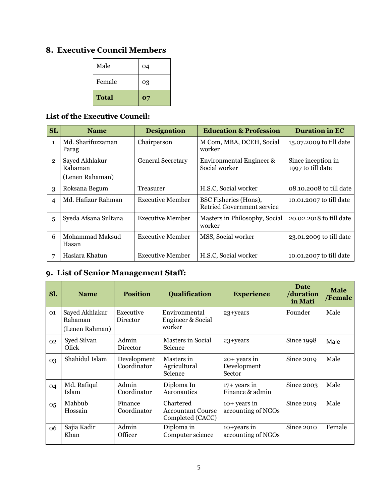## **8. Executive Council Members**

| <b>Total</b> | 07 |
|--------------|----|
| Female       | 03 |
| Male         | 04 |

## **List of the Executive Council:**

| <b>SL</b>      | <b>Name</b>                                  | <b>Designation</b>       | <b>Education &amp; Profession</b>                   | <b>Duration in EC</b>                   |
|----------------|----------------------------------------------|--------------------------|-----------------------------------------------------|-----------------------------------------|
| $\mathbf{1}$   | Md. Sharifuzzaman<br>Parag                   | Chairperson              | M Com, MBA, DCEH, Social<br>worker                  | 15.07.2009 to till date                 |
| $\overline{2}$ | Sayed Akhlakur<br>Rahaman<br>(Lenen Rahaman) | <b>General Secretary</b> | Environmental Engineer &<br>Social worker           | Since inception in<br>1997 to till date |
| 3              | Roksana Begum                                | Treasurer                | H.S.C, Social worker                                | 08.10.2008 to till date                 |
| $\overline{4}$ | Md. Hafizur Rahman                           | Executive Member         | BSC Fisheries (Hons),<br>Retried Government service | 10.01.2007 to till date                 |
| 5              | Syeda Afsana Sultana                         | <b>Executive Member</b>  | Masters in Philosophy, Social<br>worker             | 20.02.2018 to till date                 |
| 6              | Mohammad Maksud<br>Hasan                     | Executive Member         | MSS, Social worker                                  | 23.01.2009 to till date                 |
| 7              | Hasiara Khatun                               | <b>Executive Member</b>  | H.S.C, Social worker                                | 10.01.2007 to till date                 |

## **9. List of Senior Management Staff:**

| Sl. | <b>Name</b>                                 | <b>Position</b>            | <b>Qualification</b>                                         | <b>Experience</b>                       | Date<br>/duration<br>in Mati | <b>Male</b><br>/Female |
|-----|---------------------------------------------|----------------------------|--------------------------------------------------------------|-----------------------------------------|------------------------------|------------------------|
| 01  | Sayed Akhlakur<br>Rahaman<br>(Lenen Rahman) | Executive<br>Director      | Environmental<br>$23 + years$<br>Engineer & Social<br>worker |                                         | Founder                      | Male                   |
| 02  | Syed Silvan<br>Olick                        | Admin<br>Director          | Masters in Social<br><b>Science</b>                          | Since 1998<br>23+years                  |                              | Male                   |
| 03  | Shahidul Islam                              | Development<br>Coordinator | Masters in<br>Agricultural<br>Science                        | $20+$ years in<br>Development<br>Sector | Since 2019                   | Male                   |
| 04  | Md. Rafiqul<br>Islam                        | Admin<br>Coordinator       | Diploma In<br>Aeronautics                                    | $17+$ years in<br>Finance & admin       | Since 2003                   | Male                   |
| 05  | Mahbub<br>Hossain                           | Finance<br>Coordinator     | Chartered<br><b>Accountant Course</b><br>Completed (CACC)    | $10+$ years in<br>accounting of NGOs    | Since 2019                   | Male                   |
| 06  | Sajia Kadir<br>Khan                         | Admin<br>Officer           | Diploma in<br>Computer science                               | $10+years$ in<br>accounting of NGOs     | <b>Since 2010</b>            | Female                 |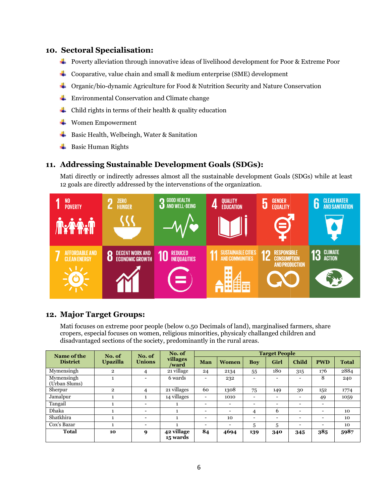## **10. Sectoral Specialisation: .**

- Poverty alleviation through innovative ideas of livelihood development for Poor & Extreme Poor
- Cooparative, value chain and small & medium enterprise (SME) development
- Organic/bio-dynamic Agriculture for Food & Nutrition Security and Nature Conservation
- Environmental Conservation and Climate change
- $\triangleq$  Child rights in terms of their health & quality education
- **↓** Women Empowerment
- Basic Health, Welbeingh, Water & Sanitation
- $\overline{\phantom{a}}$  Basic Human Rights

## **11. Addressing Sustainable Development Goals ( (SDGs):**

Mati directly or indirectly adresses almost all the sustainable development Goals (SDGs) while at least 12 goals are directly addressed by the intervenstions of the organization.



## **12. Major Target Groups:**

Mati focuses on extreme poor people ( (below 0.50 Decimals of land), marginalised farmers, cropers, especial focuses on women, religious minorities, physicaly challanged children and disadvantaged sections of the society, predominantly in the rural areas.

| Name of the                 | No. of          | No. of                   | No. of<br><b>Target People</b>      |                          |                          |                          |      |                          |                          |              |
|-----------------------------|-----------------|--------------------------|-------------------------------------|--------------------------|--------------------------|--------------------------|------|--------------------------|--------------------------|--------------|
| <b>District</b>             | <b>Upazilla</b> | <b>Unions</b>            | villages<br>/ward                   | Man                      | <b>Women</b>             | <b>Boy</b>               | Girl | Child                    | <b>PWD</b>               | <b>Total</b> |
| Mymensingh                  | $\overline{2}$  | 4                        | $\overline{21}$ village             | 24                       | 2134                     | 55                       | 180  | 315                      | 176                      | 2884         |
| Mymensingh<br>(Urban Slums) |                 |                          | 6 wards                             |                          | 232                      | $\overline{\phantom{a}}$ |      | $\overline{\phantom{0}}$ | 8                        | 240          |
| Sherpur                     | $\mathbf{2}$    | 4                        | 21 villages                         | 60                       | 1308                     | 75                       | 149  | 30                       | 152                      | 1774         |
| Jamalpur                    |                 |                          | $\overline{14}$ villages            | $\overline{\phantom{0}}$ | 1010                     | $\overline{\phantom{0}}$ | -    | $\overline{\phantom{0}}$ | 49                       | 1059         |
| Tangail                     |                 |                          | 1                                   | $\overline{\phantom{0}}$ |                          | $\overline{\phantom{0}}$ | -    | $\overline{\phantom{a}}$ | $\overline{\phantom{0}}$ |              |
| Dhaka                       |                 |                          | 1                                   |                          |                          | 4                        | 6    | $\overline{\phantom{0}}$ | $\overline{\phantom{0}}$ | 10           |
| Shatkhira                   |                 | $\overline{\phantom{0}}$ |                                     | $\overline{\phantom{0}}$ | 10                       | $\overline{\phantom{0}}$ | -    | $\overline{\phantom{0}}$ | $\overline{\phantom{0}}$ | 10           |
| Cox's Bazar                 |                 | $\overline{\phantom{0}}$ |                                     | $\overline{\phantom{0}}$ | $\overline{\phantom{0}}$ | 5                        | 5    | $\overline{\phantom{0}}$ | $\overline{\phantom{0}}$ | 10           |
| Total                       | 10              | 9                        | $\overline{42}$ village<br>15 wards | 84                       | 4694                     | 139                      | 340  | 345                      | 385                      | 5987         |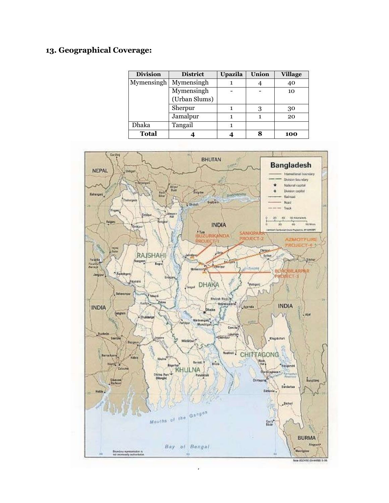## **13. Geographical Coverage:**

| <b>Division</b> | <b>District</b> | Upazila | <b>Union</b> | <b>Village</b> |
|-----------------|-----------------|---------|--------------|----------------|
| Mymensingh      | Mymensingh      |         |              | 40             |
|                 | Mymensingh      |         |              | 10             |
|                 | (Urban Slums)   |         |              |                |
|                 | Sherpur         |         |              | 30             |
|                 | Jamalpur        |         |              | 20             |
| Dhaka           | Tangail         |         |              |                |
| <b>Total</b>    |                 |         |              | 100            |

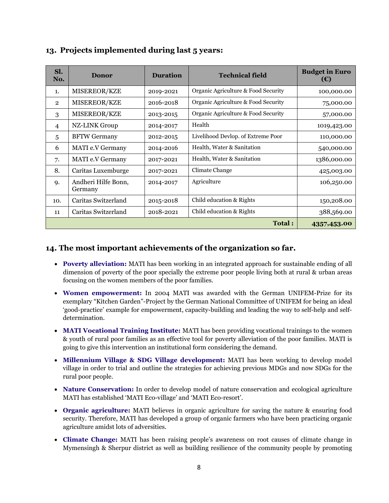| Sl.<br>No.     | <b>Donor</b>                   | <b>Duration</b> | <b>Technical field</b>              | <b>Budget in Euro</b><br>(€) |
|----------------|--------------------------------|-----------------|-------------------------------------|------------------------------|
| 1.             | MISEREOR/KZE                   | 2019-2021       | Organic Agriculture & Food Security | 100,000.00                   |
| $\overline{2}$ | MISEREOR/KZE                   | 2016-2018       | Organic Agriculture & Food Security | 75,000.00                    |
| 3              | MISEREOR/KZE                   | 2013-2015       | Organic Agriculture & Food Security | 57,000.00                    |
| $\overline{4}$ | <b>NZ-LINK Group</b>           | 2014-2017       | Health                              | 1019,423.00                  |
| 5              | <b>BFTW Germany</b>            | 2012-2015       | Livelihood Devlop. of Extreme Poor  | 110,000.00                   |
| 6              | MATI e.V Germany               | 2014-2016       | Health, Water & Sanitation          | 540,000.00                   |
| 7.             | MATI e.V Germany               | 2017-2021       | Health, Water & Sanitation          | 1386,000.00                  |
| 8.             | Caritas Luxemburge             | 2017-2021       | Climate Change                      | 425,003.00                   |
| 9.             | Andheri Hilfe Bonn,<br>Germany | 2014-2017       | Agriculture                         | 106,250.00                   |
| 10.            | Caritas Switzerland            | 2015-2018       | Child education & Rights            | 150,208.00                   |
| 11             | Caritas Switzerland            | 2018-2021       | Child education & Rights            | 388,569.00                   |
|                |                                |                 | Total:                              | 4357,453.00                  |

## **13. Projects implemented during last 5 years:**

## **14. The most important achievements of the organization so far.**

- **Poverty alleviation:** MATI has been working in an integrated approach for sustainable ending of all dimension of poverty of the poor specially the extreme poor people living both at rural & urban areas focusing on the women members of the poor families.
- **Women empowerment:** In 2004 MATI was awarded with the German UNIFEM-Prize for its exemplary "Kitchen Garden"-Project by the German National Committee of UNIFEM for being an ideal 'good-practice' example for empowerment, capacity-building and leading the way to self-help and selfdetermination.
- **MATI Vocational Training Institute:** MATI has been providing vocational trainings to the women & youth of rural poor families as an effective tool for poverty alleviation of the poor families. MATI is going to give this intervention an institutional form considering the demand.
- **Millennium Village & SDG Village development:** MATI has been working to develop model village in order to trial and outline the strategies for achieving previous MDGs and now SDGs for the rural poor people.
- **Nature Conservation:** In order to develop model of nature conservation and ecological agriculture MATI has established 'MATI Eco-village' and 'MATI Eco-resort'.
- **Organic agriculture:** MATI believes in organic agriculture for saving the nature & ensuring food security. Therefore, MATI has developed a group of organic farmers who have been practicing organic agriculture amidst lots of adversities.
- **Climate Change:** MATI has been raising people's awareness on root causes of climate change in Mymensingh & Sherpur district as well as building resilience of the community people by promoting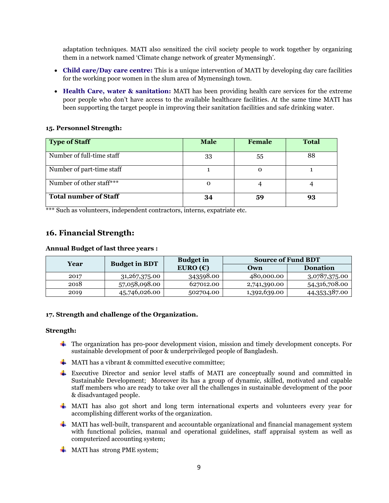adaptation techniques. MATI also sensitized the civil society people to work together by organizing them in a network named 'Climate change network of greater Mymensingh'.

- **Child care/Day care centre:** This is a unique intervention of MATI by developing day care facilities for the working poor women in the slum area of Mymensingh town.
- **Health Care, water & sanitation:** MATI has been providing health care services for the extreme poor people who don't have access to the available healthcare facilities. At the same time MATI has been supporting the target people in improving their sanitation facilities and safe drinking water.

### **15. Personnel Strength:**

| <b>Type of Staff</b>         | <b>Male</b> | <b>Female</b> | <b>Total</b> |
|------------------------------|-------------|---------------|--------------|
| Number of full-time staff    | 33          | 55            | 88           |
| Number of part-time staff    |             |               |              |
| Number of other staff***     | $\Omega$    |               |              |
| <b>Total number of Staff</b> | 34          | 59            | 93           |

\*\*\* Such as volunteers, independent contractors, interns, expatriate etc.

## **16. Financial Strength:**

## **Annual Budget of last three years :**

| Year | <b>Budget in</b><br><b>Budget in BDT</b> |                   | <b>Source of Fund BDT</b> |               |  |
|------|------------------------------------------|-------------------|---------------------------|---------------|--|
|      |                                          | EURO $(\epsilon)$ | Own                       | Donation      |  |
| 2017 | 31, 267, 375.00                          | 343598.00         | 480,000.00                | 3,0787,375.00 |  |
| 2018 | 57,058,098.00                            | 627012.00         | 2,741,390.00              | 54,316,708.00 |  |
| 2019 | 45,746,026.00                            | 502704.00         | 1,392,639.00              | 44,353,387.00 |  |

#### **17. Strength and challenge of the Organization.**

#### **Strength:**

- The organization has pro-poor development vision, mission and timely development concepts. For sustainable development of poor & underprivileged people of Bangladesh.
- $\frac{1}{\sqrt{2}}$  MATI has a vibrant & committed executive committee:
- Executive Director and senior level staffs of MATI are conceptually sound and committed in Sustainable Development; Moreover its has a group of dynamic, skilled, motivated and capable staff members who are ready to take over all the challenges in sustainable development of the poor & disadvantaged people.
- $\perp$  MATI has also got short and long term international experts and volunteers every year for accomplishing different works of the organization.
- $\downarrow$  MATI has well-built, transparent and accountable organizational and financial management system with functional policies, manual and operational guidelines, staff appraisal system as well as computerized accounting system;
- **MATI has strong PME system;**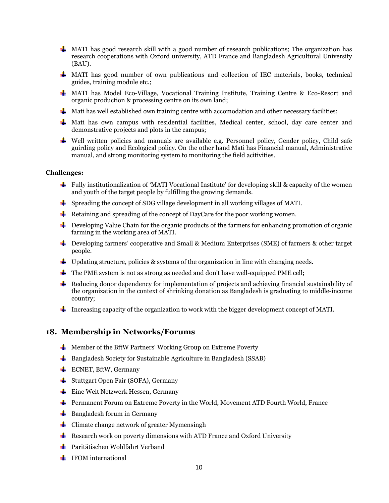- $\pm$  MATI has good research skill with a good number of research publications; The organization has research cooperations with Oxford university, ATD France and Bangladesh Agricultural University (BAU).
- MATI has good number of own publications and collection of IEC materials, books, technical guides, training module etc.;
- MATI has Model Eco-Village, Vocational Training Institute, Training Centre & Eco-Resort and organic production & processing centre on its own land;
- $\frac{1}{\sqrt{1}}$  Mati has well established own training centre with accomodation and other necessary facilities;
- **Mati** has own campus with residential facilities, Medical center, school, day care center and demonstrative projects and plots in the campus;
- Well written policies and manuals are available e.g. Personnel policy, Gender policy, Child safe guirding policy and Ecological policy. On the other hand Mati has Financial manual, Administrative manual, and strong monitoring system to monitoring the field acitivities.

#### **Challenges:**

- Fully institutionalization of 'MATI Vocational Institute' for developing skill & capacity of the women and youth of the target people by fulfilling the growing demands.
- Spreading the concept of SDG village development in all working villages of MATI.
- Retaining and spreading of the concept of DayCare for the poor working women.
- $\ddot{\phantom{1}}$  Developing Value Chain for the organic products of the farmers for enhancing promotion of organic farming in the working area of MATI.
- Developing farmers' cooperative and Small & Medium Enterprises (SME) of farmers & other target people.
- $\overline{+}$  Updating structure, policies & systems of the organization in line with changing needs.
- $\ddot{\bullet}$  The PME system is not as strong as needed and don't have well-equipped PME cell;
- Reducing donor dependency for implementation of projects and achieving financial sustainability of the organization in the context of shrinking donation as Bangladesh is graduating to middle-income country;
- Increasing capacity of the organization to work with the bigger development concept of MATI.

## **18. Membership in Networks/Forums**

- $\overline{\text{H}}$  Member of the BftW Partners' Working Group on Extreme Poverty
- $\overline{\phantom{a}}$  Bangladesh Society for Sustainable Agriculture in Bangladesh (SSAB)
- $\overline{\phantom{C}^{\perp}}$  ECNET, BftW, Germany
- **↓** Stuttgart Open Fair (SOFA), Germany
- **Eine Welt Netzwerk Hessen, Germany**
- Permanent Forum on Extreme Poverty in the World, Movement ATD Fourth World, France
- $\bigstar$  Bangladesh forum in Germany
- $\leftarrow$  Climate change network of greater Mymensingh
- **Research work on poverty dimensions with ATD France and Oxford University**
- **↓** Paritätischen Wohlfahrt Verband
- $\blacksquare$  IFOM international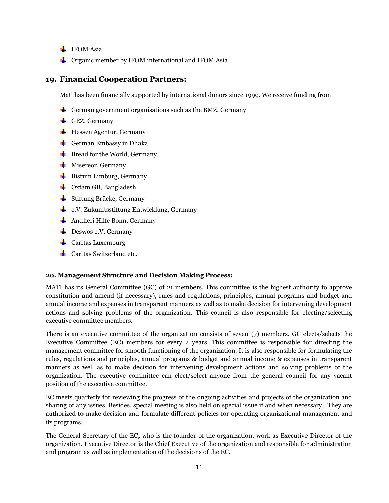- $\blacksquare$  IFOM Asia
- $\overline{\phantom{a}}$  Organic member by IFOM international and IFOM Asia

## **19. Financial Cooperation Partners:**

Mati has been financially supported by international donors since 1999. We receive funding from

- German government organisations such as the BMZ, Germany
- GEZ, Germany
- $\blacksquare$  Hessen Agentur, Germany
- $\leftarrow$  German Embassy in Dhaka
- $\leftarrow$  Bread for the World, Germany
- $\blacksquare$  Misereor, Germany
- $\overline{\phantom{a}}$  Bistum Limburg, Germany
- $\downarrow$  Oxfam GB, Bangladesh
- $\frac{1}{\sqrt{2}}$  Stiftung Brücke, Germany
- **EXECUTE:** e.V. Zukunftsstiftung Entwicklung, Germany
- **←** Andheri Hilfe Bonn, Germany
- $\blacksquare$  Deswos e.V, Germany
- $\leftarrow$  Caritas Luxemburg
- $\perp$  Caritas Switzerland etc.

#### **20. Management Structure and Decision Making Process:**

MATI has its General Committee (GC) of 21 members. This committee is the highest authority to approve constitution and amend (if necessary), rules and regulations, principles, annual programs and budget and annual income and expenses in transparent manners as well as to make decision for intervening development actions and solving problems of the organization. This council is also responsible for electing/selecting executive committee members.

There is an executive committee of the organization consists of seven (7) members. GC elects/selects the Executive Committee (EC) members for every 2 years. This committee is responsible for directing the management committee for smooth functioning of the organization. It is also responsible for formulating the rules, regulations and principles, annual programs & budget and annual income & expenses in transparent manners as well as to make decision for intervening development actions and solving problems of the organization. The executive committee can elect/select anyone from the general council for any vacant position of the executive committee.

EC meets quarterly for reviewing the progress of the ongoing activities and projects of the organization and sharing of any issues. Besides, special meeting is also held on special issue if and when necessary. They are authorized to make decision and formulate different policies for operating organizational management and its programs.

The General Secretary of the EC, who is the founder of the organization, work as Executive Director of the organization. Executive Director is the Chief Executive of the organization and responsible for administration and program as well as implementation of the decisions of the EC.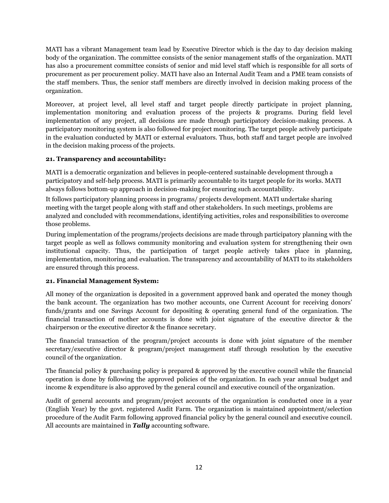MATI has a vibrant Management team lead by Executive Director which is the day to day decision making body of the organization. The committee consists of the senior management staffs of the organization. MATI has also a procurement committee consists of senior and mid level staff which is responsible for all sorts of procurement as per procurement policy. MATI have also an Internal Audit Team and a PME team consists of the staff members. Thus, the senior staff members are directly involved in decision making process of the organization.

Moreover, at project level, all level staff and target people directly participate in project planning, implementation monitoring and evaluation process of the projects & programs. During field level implementation of any project, all decisions are made through participatory decision-making process. A participatory monitoring system is also followed for project monitoring. The target people actively participate in the evaluation conducted by MATI or external evaluators. Thus, both staff and target people are involved in the decision making process of the projects.

## **21. Transparency and accountability:**

MATI is a democratic organization and believes in people-centered sustainable development through a participatory and self-help process. MATI is primarily accountable to its target people for its works. MATI always follows bottom-up approach in decision-making for ensuring such accountability.

It follows participatory planning process in programs/ projects development. MATI undertake sharing meeting with the target people along with staff and other stakeholders. In such meetings, problems are analyzed and concluded with recommendations, identifying activities, roles and responsibilities to overcome those problems.

During implementation of the programs/projects decisions are made through participatory planning with the target people as well as follows community monitoring and evaluation system for strengthening their own institutional capacity. Thus, the participation of target people actively takes place in planning, implementation, monitoring and evaluation. The transparency and accountability of MATI to its stakeholders are ensured through this process.

## **21. Financial Management System:**

All money of the organization is deposited in a government approved bank and operated the money though the bank account. The organization has two mother accounts, one Current Account for receiving donors' funds/grants and one Savings Account for depositing & operating general fund of the organization. The financial transaction of mother accounts is done with joint signature of the executive director & the chairperson or the executive director & the finance secretary.

The financial transaction of the program/project accounts is done with joint signature of the member secretary/executive director & program/project management staff through resolution by the executive council of the organization.

The financial policy & purchasing policy is prepared & approved by the executive council while the financial operation is done by following the approved policies of the organization. In each year annual budget and income & expenditure is also approved by the general council and executive council of the organization.

Audit of general accounts and program/project accounts of the organization is conducted once in a year (English Year) by the govt. registered Audit Farm. The organization is maintained appointment/selection procedure of the Audit Farm following approved financial policy by the general council and executive council. All accounts are maintained in *Tally* accounting software.